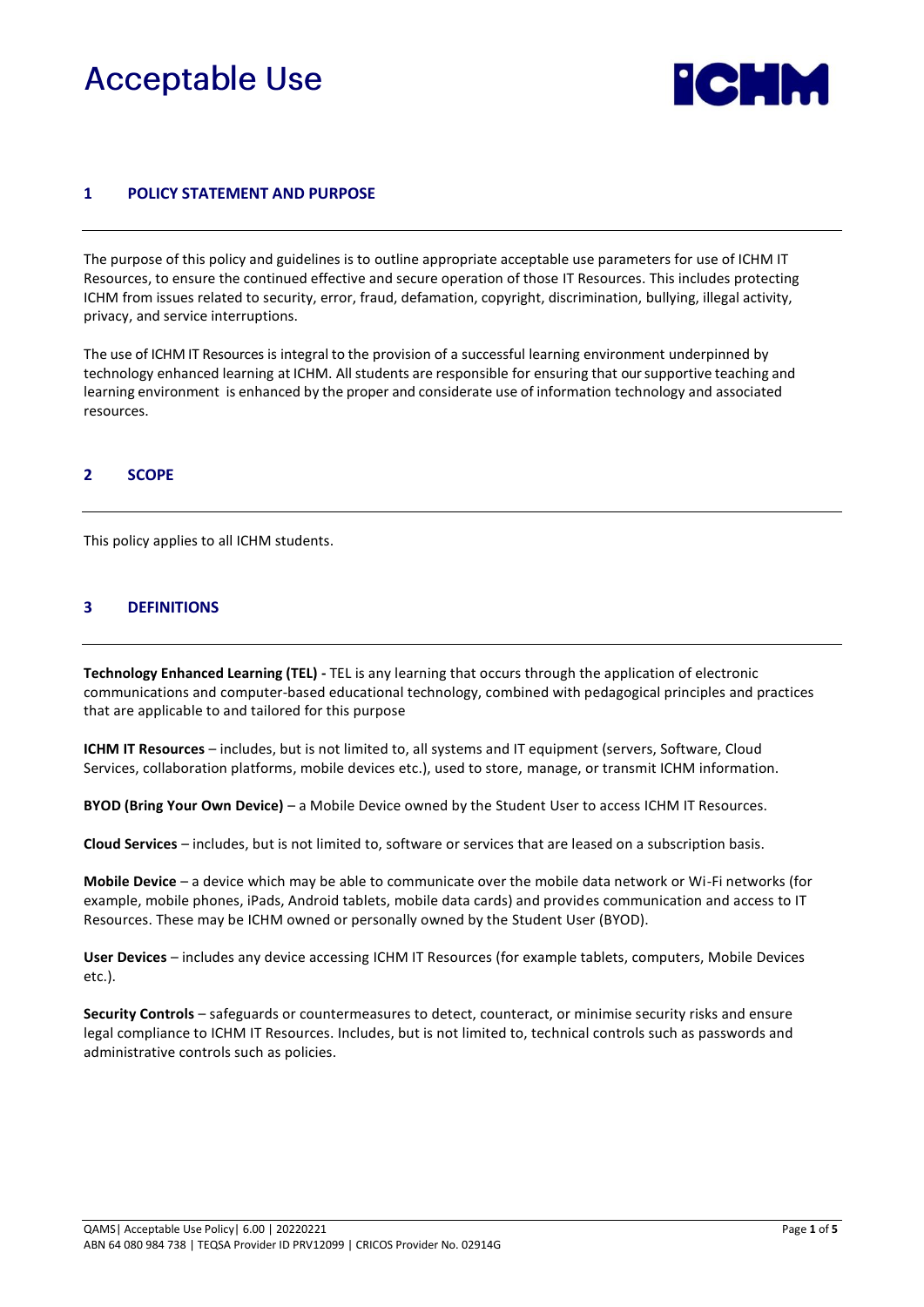# **Acceptable Use**



## **1 POLICY STATEMENT AND PURPOSE**

The purpose of this policy and guidelines is to outline appropriate acceptable use parameters for use of ICHM IT Resources, to ensure the continued effective and secure operation of those IT Resources. This includes protecting ICHM from issues related to security, error, fraud, defamation, copyright, discrimination, bullying, illegal activity, privacy, and service interruptions.

The use of ICHM IT Resources is integral to the provision of a successful learning environment underpinned by technology enhanced learning at ICHM. All students are responsible for ensuring that our supportive teaching and learning environment is enhanced by the proper and considerate use of information technology and associated resources.

# **2 SCOPE**

This policy applies to all ICHM students.

## **3 DEFINITIONS**

**Technology Enhanced Learning (TEL) -** TEL is any learning that occurs through the application of electronic communications and computer-based educational technology, combined with pedagogical principles and practices that are applicable to and tailored for this purpose

**ICHM IT Resources** – includes, but is not limited to, all systems and IT equipment (servers, Software, Cloud Services, collaboration platforms, mobile devices etc.), used to store, manage, or transmit ICHM information.

**BYOD (Bring Your Own Device)** – a Mobile Device owned by the Student User to access ICHM IT Resources.

**Cloud Services** – includes, but is not limited to, software or services that are leased on a subscription basis.

**Mobile Device** – a device which may be able to communicate over the mobile data network or Wi-Fi networks (for example, mobile phones, iPads, Android tablets, mobile data cards) and provides communication and access to IT Resources. These may be ICHM owned or personally owned by the Student User (BYOD).

**User Devices** – includes any device accessing ICHM IT Resources (for example tablets, computers, Mobile Devices etc.).

**Security Controls** – safeguards or countermeasures to detect, counteract, or minimise security risks and ensure legal compliance to ICHM IT Resources. Includes, but is not limited to, technical controls such as passwords and administrative controls such as policies.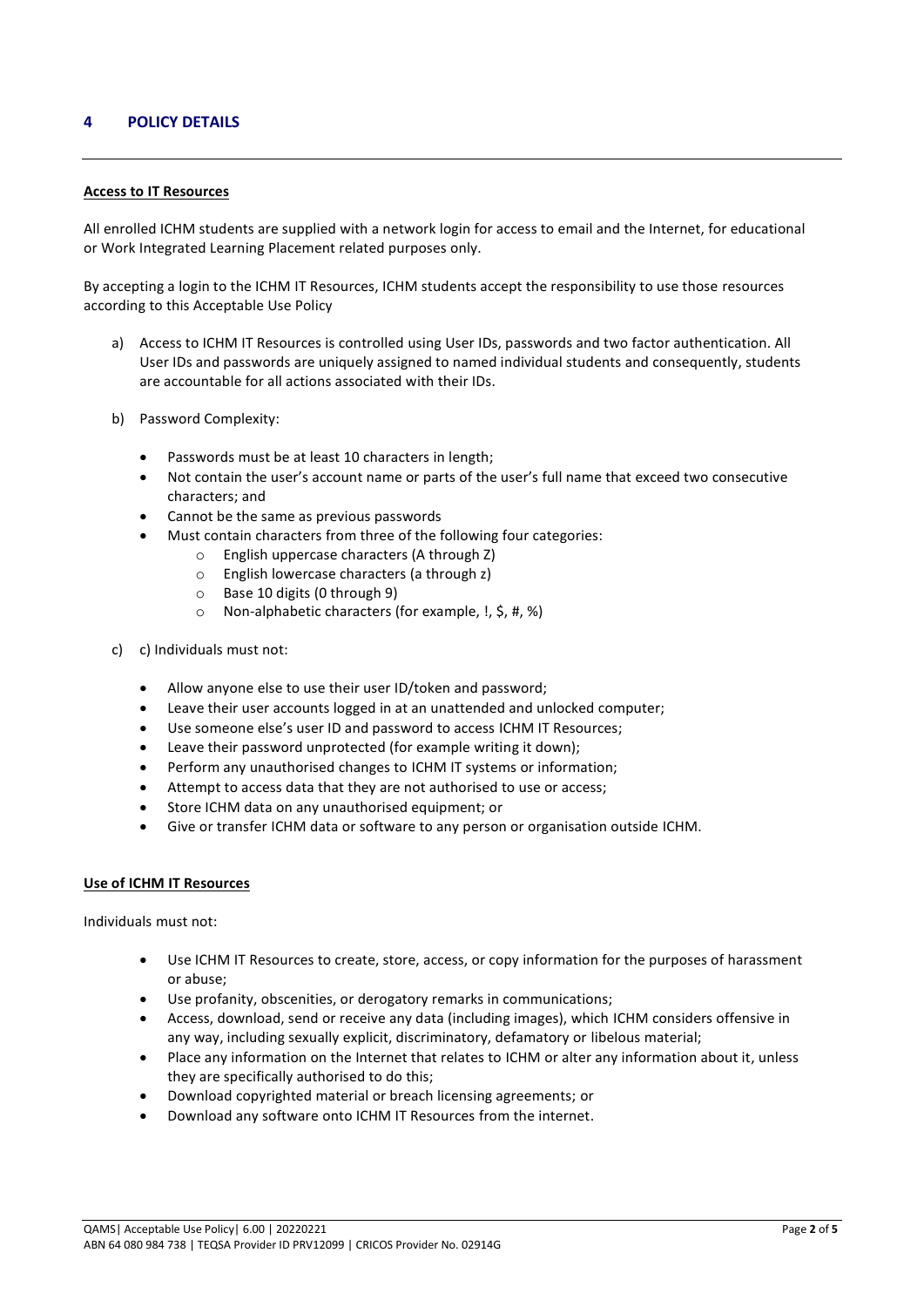## **4 POLICY DETAILS**

#### **Access to IT Resources**

All enrolled ICHM students are supplied with a network login for access to email and the Internet, for educational or Work Integrated Learning Placement related purposes only.

By accepting a login to the ICHM IT Resources, ICHM students accept the responsibility to use those resources according to this Acceptable Use Policy

- a) Access to ICHM IT Resources is controlled using User IDs, passwords and two factor authentication. All User IDs and passwords are uniquely assigned to named individual students and consequently, students are accountable for all actions associated with their IDs.
- b) Password Complexity:
	- Passwords must be at least 10 characters in length;
	- Not contain the user's account name or parts of the user's full name that exceed two consecutive characters; and
	- Cannot be the same as previous passwords
	- Must contain characters from three of the following four categories:
		- o English uppercase characters (A through Z)
		- o English lowercase characters (a through z)
		- o Base 10 digits (0 through 9)
		- o Non-alphabetic characters (for example, !, \$, #, %)
- c) c) Individuals must not:
	- Allow anyone else to use their user ID/token and password;
	- Leave their user accounts logged in at an unattended and unlocked computer;
	- Use someone else's user ID and password to access ICHM IT Resources;
	- Leave their password unprotected (for example writing it down);
	- Perform any unauthorised changes to ICHM IT systems or information;
	- Attempt to access data that they are not authorised to use or access;
	- Store ICHM data on any unauthorised equipment; or
	- Give or transfer ICHM data or software to any person or organisation outside ICHM.

#### **Use of ICHM IT Resources**

Individuals must not:

- Use ICHM IT Resources to create, store, access, or copy information for the purposes of harassment or abuse;
- Use profanity, obscenities, or derogatory remarks in communications;
- Access, download, send or receive any data (including images), which ICHM considers offensive in any way, including sexually explicit, discriminatory, defamatory or libelous material;
- Place any information on the Internet that relates to ICHM or alter any information about it, unless they are specifically authorised to do this;
- Download copyrighted material or breach licensing agreements; or
- Download any software onto ICHM IT Resources from the internet.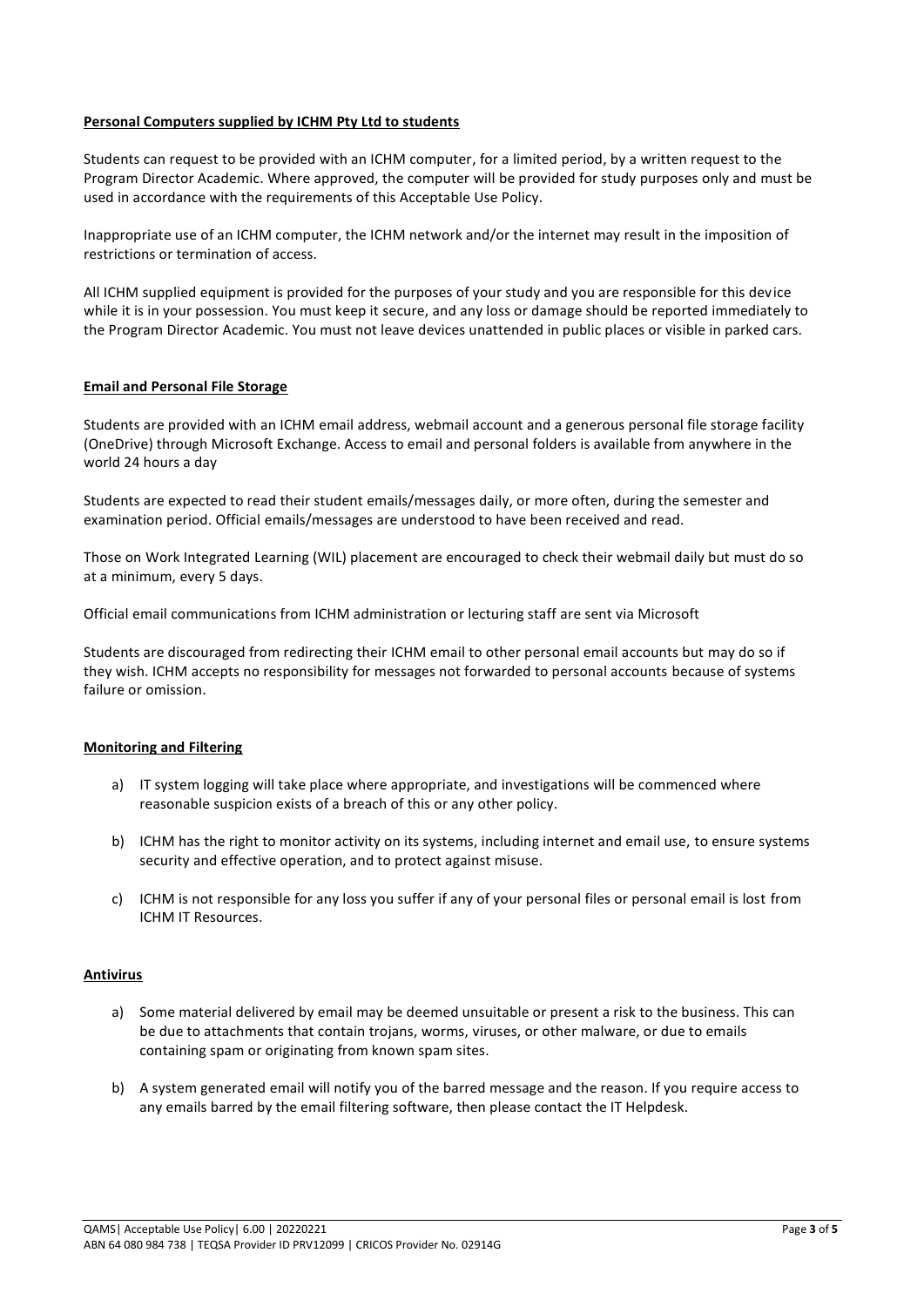### **Personal Computers supplied by ICHM Pty Ltd to students**

Students can request to be provided with an ICHM computer, for a limited period, by a written request to the Program Director Academic. Where approved, the computer will be provided for study purposes only and must be used in accordance with the requirements of this Acceptable Use Policy.

Inappropriate use of an ICHM computer, the ICHM network and/or the internet may result in the imposition of restrictions or termination of access.

All ICHM supplied equipment is provided for the purposes of your study and you are responsible for this device while it is in your possession. You must keep it secure, and any loss or damage should be reported immediately to the Program Director Academic. You must not leave devices unattended in public places or visible in parked cars.

### **Email and Personal File Storage**

Students are provided with an ICHM email address, webmail account and a generous personal file storage facility (OneDrive) through Microsoft Exchange. Access to email and personal folders is available from anywhere in the world 24 hours a day

Students are expected to read their student emails/messages daily, or more often, during the semester and examination period. Official emails/messages are understood to have been received and read.

Those on Work Integrated Learning (WIL) placement are encouraged to check their webmail daily but must do so at a minimum, every 5 days.

Official email communications from ICHM administration or lecturing staff are sent via Microsoft

Students are discouraged from redirecting their ICHM email to other personal email accounts but may do so if they wish. ICHM accepts no responsibility for messages not forwarded to personal accounts because of systems failure or omission.

### **Monitoring and Filtering**

- a) IT system logging will take place where appropriate, and investigations will be commenced where reasonable suspicion exists of a breach of this or any other policy.
- b) ICHM has the right to monitor activity on its systems, including internet and email use, to ensure systems security and effective operation, and to protect against misuse.
- c) ICHM is not responsible for any loss you suffer if any of your personal files or personal email is lost from ICHM IT Resources.

### **Antivirus**

- a) Some material delivered by email may be deemed unsuitable or present a risk to the business. This can be due to attachments that contain trojans, worms, viruses, or other malware, or due to emails containing spam or originating from known spam sites.
- b) A system generated email will notify you of the barred message and the reason. If you require access to any emails barred by the email filtering software, then please contact the IT Helpdesk.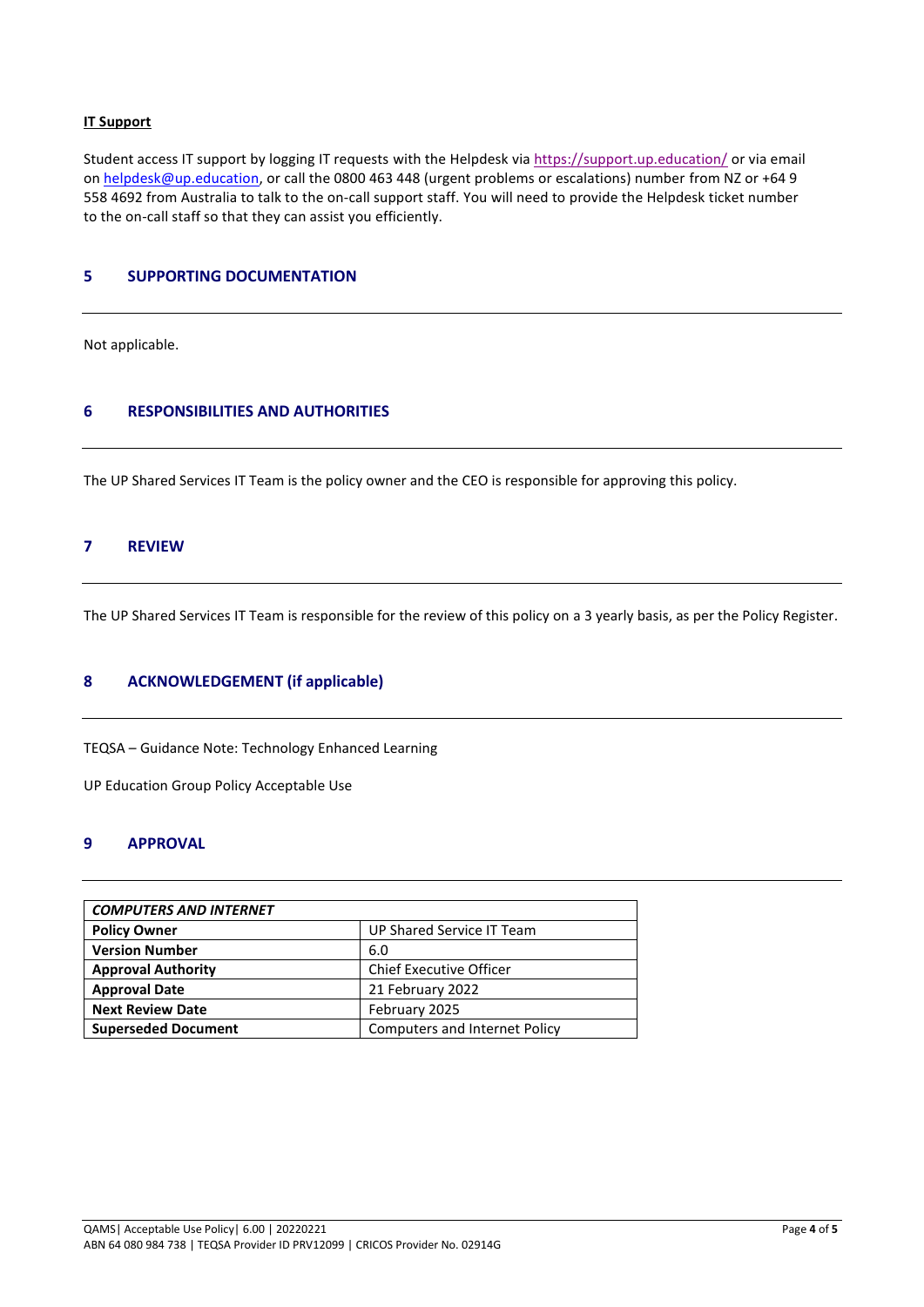### **IT Support**

Student access IT support by logging IT requests with the Helpdesk via<https://support.up.education/> or via email on [helpdesk@up.education,](mailto:helpdesk@up.education) or call the 0800 463 448 (urgent problems or escalations) number from NZ or +64 9 558 4692 from Australia to talk to the on-call support staff. You will need to provide the Helpdesk ticket number to the on-call staff so that they can assist you efficiently.

## **5 SUPPORTING DOCUMENTATION**

Not applicable.

# **6 RESPONSIBILITIES AND AUTHORITIES**

The UP Shared Services IT Team is the policy owner and the CEO is responsible for approving this policy.

#### **7 REVIEW**

The UP Shared Services IT Team is responsible for the review of this policy on a 3 yearly basis, as per the Policy Register.

## **8 ACKNOWLEDGEMENT (if applicable)**

TEQSA – Guidance Note: Technology Enhanced Learning

UP Education Group Policy Acceptable Use

## **9 APPROVAL**

| <b>COMPUTERS AND INTERNET</b> |                                      |  |  |  |
|-------------------------------|--------------------------------------|--|--|--|
| <b>Policy Owner</b>           | UP Shared Service IT Team            |  |  |  |
| <b>Version Number</b>         | 6.0                                  |  |  |  |
| <b>Approval Authority</b>     | <b>Chief Executive Officer</b>       |  |  |  |
| <b>Approval Date</b>          | 21 February 2022                     |  |  |  |
| <b>Next Review Date</b>       | February 2025                        |  |  |  |
| <b>Superseded Document</b>    | <b>Computers and Internet Policy</b> |  |  |  |